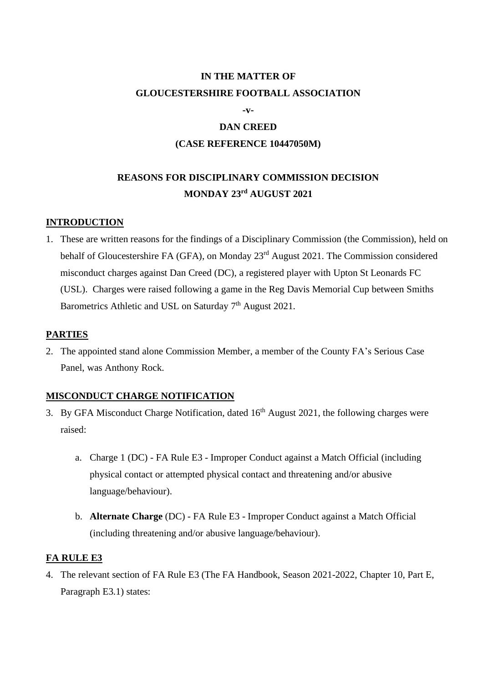# **IN THE MATTER OF GLOUCESTERSHIRE FOOTBALL ASSOCIATION**

**-v-**

# **DAN CREED (CASE REFERENCE 10447050M)**

# **REASONS FOR DISCIPLINARY COMMISSION DECISION MONDAY 23rd AUGUST 2021**

## **INTRODUCTION**

1. These are written reasons for the findings of a Disciplinary Commission (the Commission), held on behalf of Gloucestershire FA (GFA), on Monday 23<sup>rd</sup> August 2021. The Commission considered misconduct charges against Dan Creed (DC), a registered player with Upton St Leonards FC (USL). Charges were raised following a game in the Reg Davis Memorial Cup between Smiths Barometrics Athletic and USL on Saturday 7<sup>th</sup> August 2021.

### **PARTIES**

2. The appointed stand alone Commission Member, a member of the County FA's Serious Case Panel, was Anthony Rock.

## **MISCONDUCT CHARGE NOTIFICATION**

- 3. By GFA Misconduct Charge Notification, dated  $16<sup>th</sup>$  August 2021, the following charges were raised:
	- a. Charge 1 (DC) FA Rule E3 Improper Conduct against a Match Official (including physical contact or attempted physical contact and threatening and/or abusive language/behaviour).
	- b. **Alternate Charge** (DC) FA Rule E3 Improper Conduct against a Match Official (including threatening and/or abusive language/behaviour).

## **FA RULE E3**

4. The relevant section of FA Rule E3 (The FA Handbook, Season 2021-2022, Chapter 10, Part E, Paragraph E3.1) states: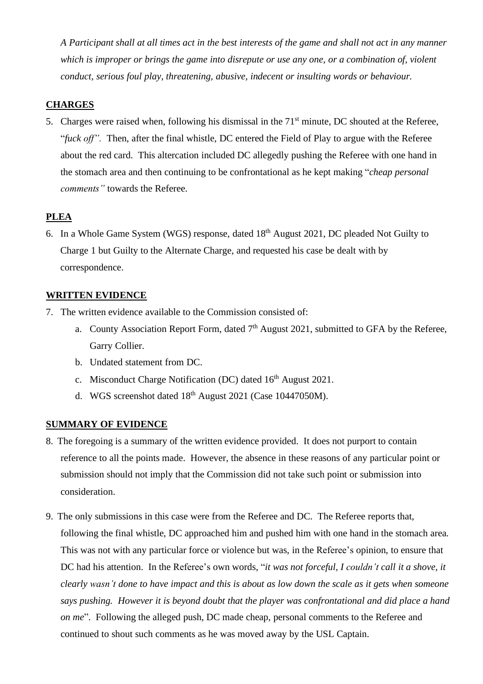*A Participant shall at all times act in the best interests of the game and shall not act in any manner which is improper or brings the game into disrepute or use any one, or a combination of, violent conduct, serious foul play, threatening, abusive, indecent or insulting words or behaviour.*

## **CHARGES**

5. Charges were raised when, following his dismissal in the 71<sup>st</sup> minute, DC shouted at the Referee, "*fuck off".* Then, after the final whistle, DC entered the Field of Play to argue with the Referee about the red card. This altercation included DC allegedly pushing the Referee with one hand in the stomach area and then continuing to be confrontational as he kept making "*cheap personal comments"* towards the Referee.

# **PLEA**

6. In a Whole Game System (WGS) response, dated 18<sup>th</sup> August 2021, DC pleaded Not Guilty to Charge 1 but Guilty to the Alternate Charge, and requested his case be dealt with by correspondence.

### **WRITTEN EVIDENCE**

- 7. The written evidence available to the Commission consisted of:
	- a. County Association Report Form, dated 7<sup>th</sup> August 2021, submitted to GFA by the Referee, Garry Collier.
	- b. Undated statement from DC.
	- c. Misconduct Charge Notification (DC) dated  $16<sup>th</sup>$  August 2021.
	- d. WGS screenshot dated  $18<sup>th</sup>$  August 2021 (Case 10447050M).

## **SUMMARY OF EVIDENCE**

- 8. The foregoing is a summary of the written evidence provided. It does not purport to contain reference to all the points made. However, the absence in these reasons of any particular point or submission should not imply that the Commission did not take such point or submission into consideration.
- 9. The only submissions in this case were from the Referee and DC. The Referee reports that, following the final whistle, DC approached him and pushed him with one hand in the stomach area. This was not with any particular force or violence but was, in the Referee's opinion, to ensure that DC had his attention. In the Referee's own words, "*it was not forceful, I couldn't call it a shove, it* clearly wasn't done to have impact and this is about as low down the scale as it gets when someone *says pushing. However it is beyond doubt that the player was confrontational and did place a hand on me*". Following the alleged push, DC made cheap, personal comments to the Referee and continued to shout such comments as he was moved away by the USL Captain.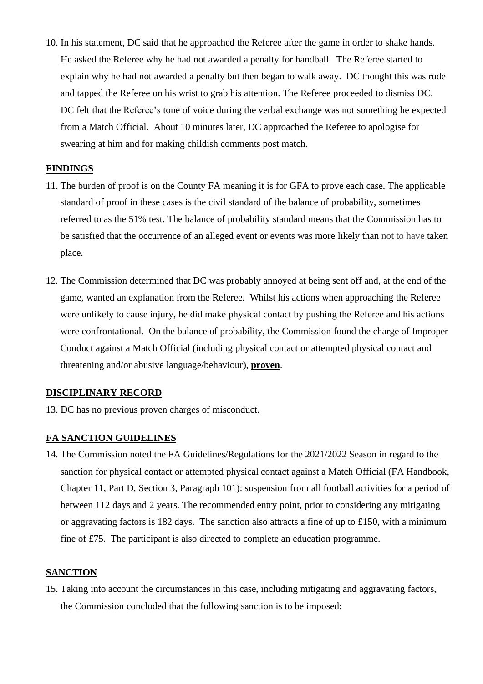10. In his statement, DC said that he approached the Referee after the game in order to shake hands. He asked the Referee why he had not awarded a penalty for handball. The Referee started to explain why he had not awarded a penalty but then began to walk away. DC thought this was rude and tapped the Referee on his wrist to grab his attention. The Referee proceeded to dismiss DC. DC felt that the Referee's tone of voice during the verbal exchange was not something he expected from a Match Official. About 10 minutes later, DC approached the Referee to apologise for swearing at him and for making childish comments post match.

### **FINDINGS**

- 11. The burden of proof is on the County FA meaning it is for GFA to prove each case. The applicable standard of proof in these cases is the civil standard of the balance of probability, sometimes referred to as the 51% test. The balance of probability standard means that the Commission has to be satisfied that the occurrence of an alleged event or events was more likely than not to have taken place.
- 12. The Commission determined that DC was probably annoyed at being sent off and, at the end of the game, wanted an explanation from the Referee. Whilst his actions when approaching the Referee were unlikely to cause injury, he did make physical contact by pushing the Referee and his actions were confrontational. On the balance of probability, the Commission found the charge of Improper Conduct against a Match Official (including physical contact or attempted physical contact and threatening and/or abusive language/behaviour), **proven**.

### **DISCIPLINARY RECORD**

13. DC has no previous proven charges of misconduct.

### **FA SANCTION GUIDELINES**

14. The Commission noted the FA Guidelines/Regulations for the 2021/2022 Season in regard to the sanction for physical contact or attempted physical contact against a Match Official (FA Handbook, Chapter 11, Part D, Section 3, Paragraph 101): suspension from all football activities for a period of between 112 days and 2 years. The recommended entry point, prior to considering any mitigating or aggravating factors is 182 days. The sanction also attracts a fine of up to £150, with a minimum fine of £75. The participant is also directed to complete an education programme.

### **SANCTION**

15. Taking into account the circumstances in this case, including mitigating and aggravating factors, the Commission concluded that the following sanction is to be imposed: